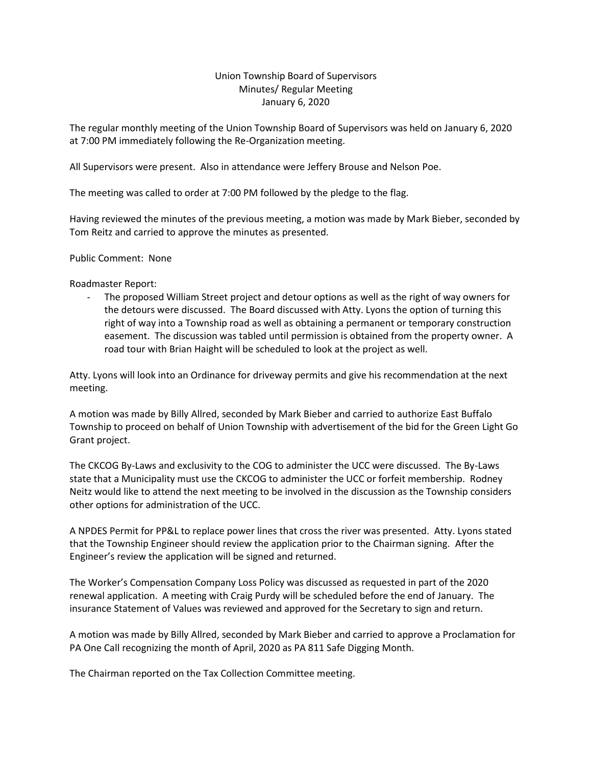## Union Township Board of Supervisors Minutes/ Regular Meeting January 6, 2020

The regular monthly meeting of the Union Township Board of Supervisors was held on January 6, 2020 at 7:00 PM immediately following the Re-Organization meeting.

All Supervisors were present. Also in attendance were Jeffery Brouse and Nelson Poe.

The meeting was called to order at 7:00 PM followed by the pledge to the flag.

Having reviewed the minutes of the previous meeting, a motion was made by Mark Bieber, seconded by Tom Reitz and carried to approve the minutes as presented.

Public Comment: None

Roadmaster Report:

The proposed William Street project and detour options as well as the right of way owners for the detours were discussed. The Board discussed with Atty. Lyons the option of turning this right of way into a Township road as well as obtaining a permanent or temporary construction easement. The discussion was tabled until permission is obtained from the property owner. A road tour with Brian Haight will be scheduled to look at the project as well.

Atty. Lyons will look into an Ordinance for driveway permits and give his recommendation at the next meeting.

A motion was made by Billy Allred, seconded by Mark Bieber and carried to authorize East Buffalo Township to proceed on behalf of Union Township with advertisement of the bid for the Green Light Go Grant project.

The CKCOG By-Laws and exclusivity to the COG to administer the UCC were discussed. The By-Laws state that a Municipality must use the CKCOG to administer the UCC or forfeit membership. Rodney Neitz would like to attend the next meeting to be involved in the discussion as the Township considers other options for administration of the UCC.

A NPDES Permit for PP&L to replace power lines that cross the river was presented. Atty. Lyons stated that the Township Engineer should review the application prior to the Chairman signing. After the Engineer's review the application will be signed and returned.

The Worker's Compensation Company Loss Policy was discussed as requested in part of the 2020 renewal application. A meeting with Craig Purdy will be scheduled before the end of January. The insurance Statement of Values was reviewed and approved for the Secretary to sign and return.

A motion was made by Billy Allred, seconded by Mark Bieber and carried to approve a Proclamation for PA One Call recognizing the month of April, 2020 as PA 811 Safe Digging Month.

The Chairman reported on the Tax Collection Committee meeting.